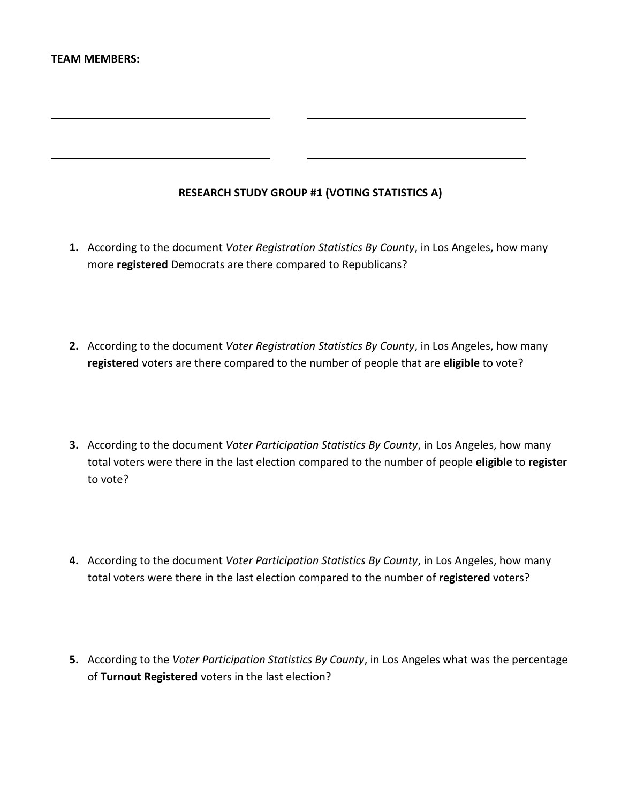# **RESEARCH STUDY GROUP #1 (VOTING STATISTICS A)**

- **1.** According to the document *Voter Registration Statistics By County*, in Los Angeles, how many more **registered** Democrats are there compared to Republicans?
- **2.** According to the document *Voter Registration Statistics By County*, in Los Angeles, how many **registered** voters are there compared to the number of people that are **eligible** to vote?
- **3.** According to the document *Voter Participation Statistics By County*, in Los Angeles, how many total voters were there in the last election compared to the number of people **eligible** to **register** to vote?
- **4.** According to the document *Voter Participation Statistics By County*, in Los Angeles, how many total voters were there in the last election compared to the number of **registered** voters?
- **5.** According to the *Voter Participation Statistics By County*, in Los Angeles what was the percentage of **Turnout Registered** voters in the last election?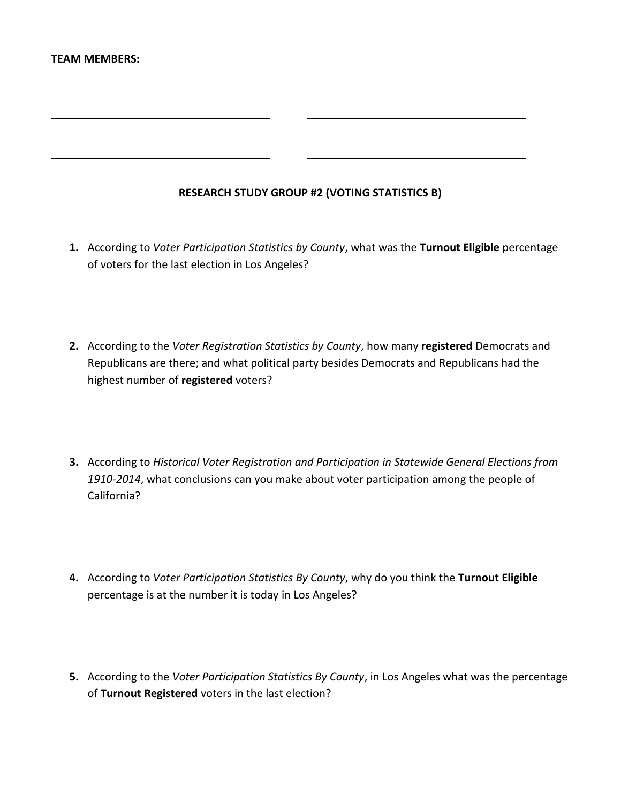# **RESEARCH STUDY GROUP #2 (VOTING STATISTICS B)**

- **1.** According to *Voter Participation Statistics by County*, what was the **Turnout Eligible** percentage of voters for the last election in Los Angeles?
- **2.** According to the *Voter Registration Statistics by County*, how many **registered** Democrats and Republicans are there; and what political party besides Democrats and Republicans had the highest number of **registered** voters?
- **3.** According to *Historical Voter Registration and Participation in Statewide General Elections from 1910-2014*, what conclusions can you make about voter participation among the people of California?
- **4.** According to *Voter Participation Statistics By County*, why do you think the **Turnout Eligible** percentage is at the number it is today in Los Angeles?
- **5.** According to the *Voter Participation Statistics By County*, in Los Angeles what was the percentage of **Turnout Registered** voters in the last election?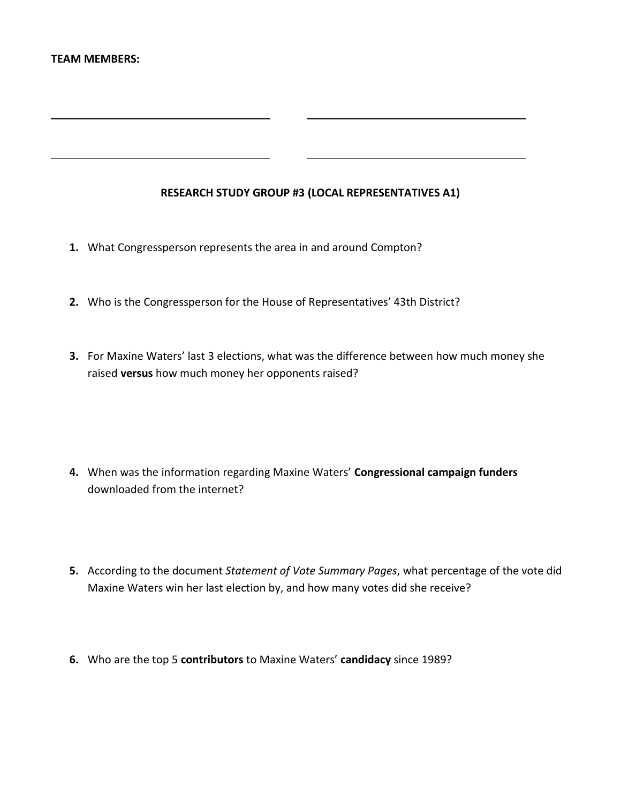# **RESEARCH STUDY GROUP #3 (LOCAL REPRESENTATIVES A1)**

- **1.** What Congressperson represents the area in and around Compton?
- **2.** Who is the Congressperson for the House of Representatives' 43th District?
- **3.** For Maxine Waters' last 3 elections, what was the difference between how much money she raised **versus** how much money her opponents raised?

- **4.** When was the information regarding Maxine Waters' **Congressional campaign funders** downloaded from the internet?
- **5.** According to the document *Statement of Vote Summary Pages*, what percentage of the vote did Maxine Waters win her last election by, and how many votes did she receive?
- **6.** Who are the top 5 **contributors** to Maxine Waters' **candidacy** since 1989?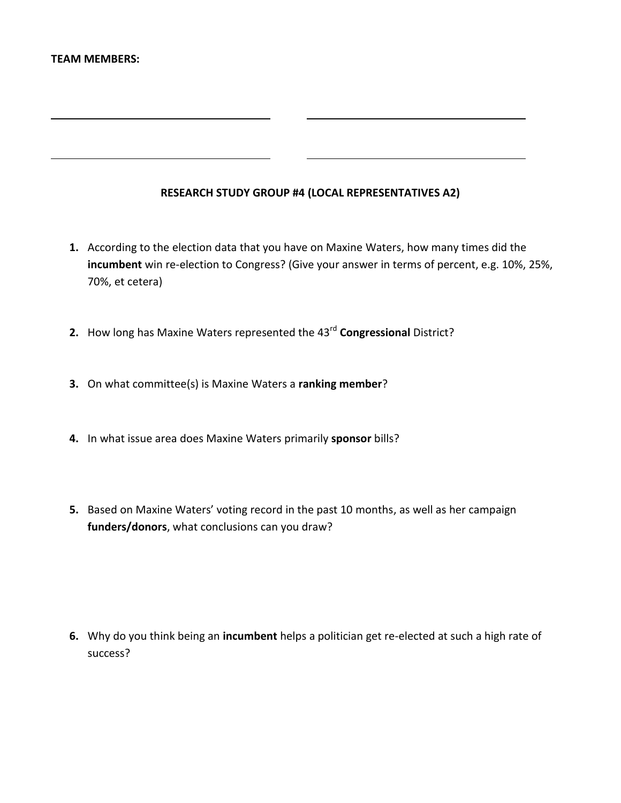# **RESEARCH STUDY GROUP #4 (LOCAL REPRESENTATIVES A2)**

- **1.** According to the election data that you have on Maxine Waters, how many times did the **incumbent** win re-election to Congress? (Give your answer in terms of percent, e.g. 10%, 25%, 70%, et cetera)
- **2.** How long has Maxine Waters represented the 43rd **Congressional** District?
- **3.** On what committee(s) is Maxine Waters a **ranking member**?
- **4.** In what issue area does Maxine Waters primarily **sponsor** bills?
- **5.** Based on Maxine Waters' voting record in the past 10 months, as well as her campaign **funders/donors**, what conclusions can you draw?

**6.** Why do you think being an **incumbent** helps a politician get re-elected at such a high rate of success?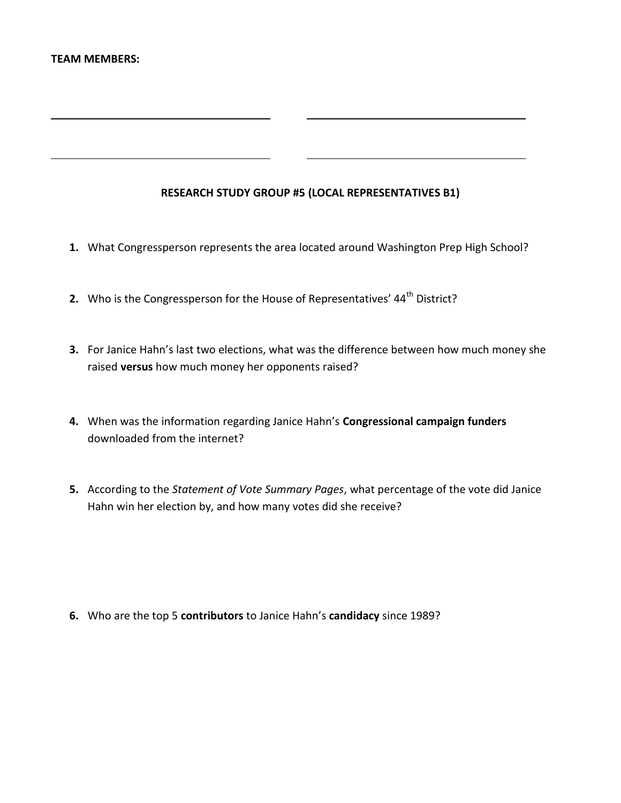# **RESEARCH STUDY GROUP #5 (LOCAL REPRESENTATIVES B1)**

- **1.** What Congressperson represents the area located around Washington Prep High School?
- **2.** Who is the Congressperson for the House of Representatives' 44<sup>th</sup> District?
- **3.** For Janice Hahn's last two elections, what was the difference between how much money she raised **versus** how much money her opponents raised?
- **4.** When was the information regarding Janice Hahn's **Congressional campaign funders** downloaded from the internet?
- **5.** According to the *Statement of Vote Summary Pages*, what percentage of the vote did Janice Hahn win her election by, and how many votes did she receive?

**6.** Who are the top 5 **contributors** to Janice Hahn's **candidacy** since 1989?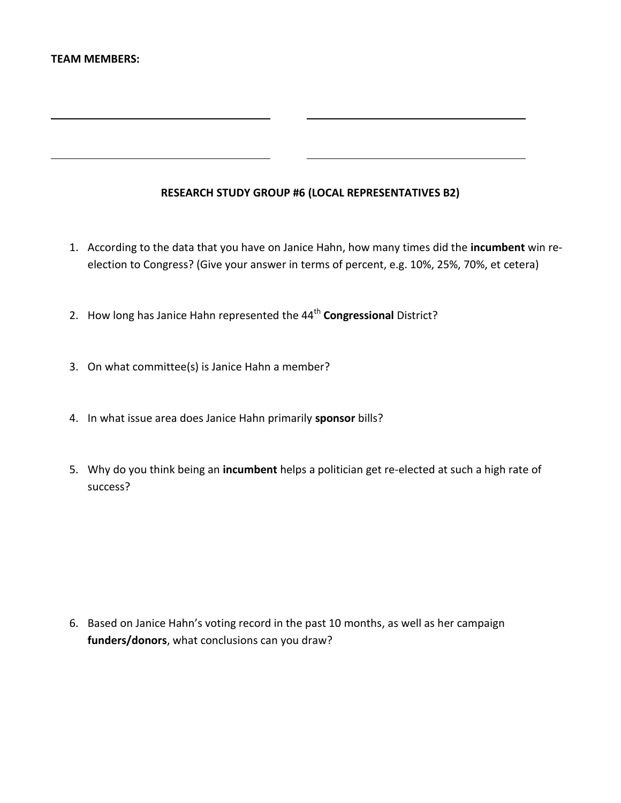# **RESEARCH STUDY GROUP #6 (LOCAL REPRESENTATIVES B2)**

- 1. According to the data that you have on Janice Hahn, how many times did the **incumbent** win reelection to Congress? (Give your answer in terms of percent, e.g. 10%, 25%, 70%, et cetera)
- 2. How long has Janice Hahn represented the 44<sup>th</sup> Congressional District?
- 3. On what committee(s) is Janice Hahn a member?
- 4. In what issue area does Janice Hahn primarily **sponsor** bills?
- 5. Why do you think being an **incumbent** helps a politician get re-elected at such a high rate of success?

6. Based on Janice Hahn's voting record in the past 10 months, as well as her campaign **funders/donors**, what conclusions can you draw?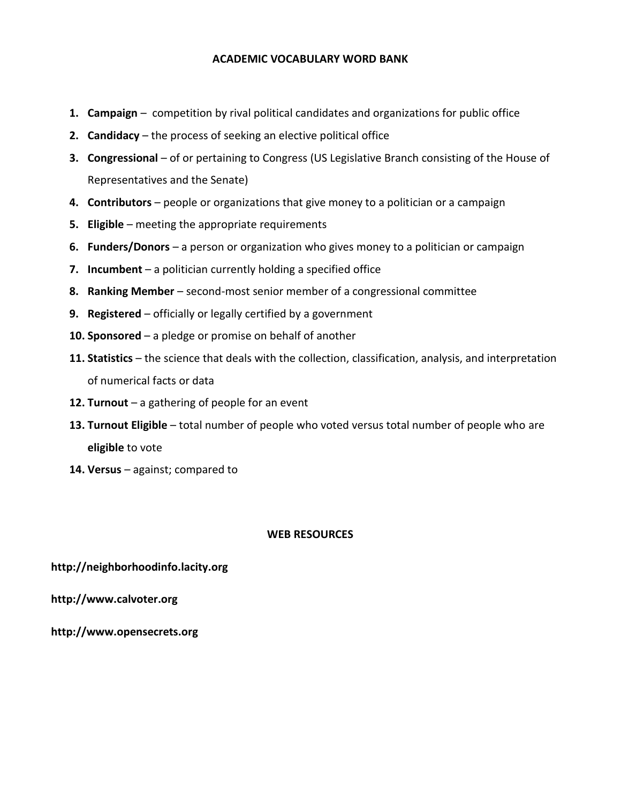## **ACADEMIC VOCABULARY WORD BANK**

- **1. Campaign**  competition by rival political candidates and organizations for public office
- **2. Candidacy**  the process of seeking an elective political office
- **3. Congressional**  of or pertaining to Congress (US Legislative Branch consisting of the House of Representatives and the Senate)
- **4. Contributors** people or organizations that give money to a politician or a campaign
- **5. Eligible**  meeting the appropriate requirements
- **6. Funders/Donors**  a person or organization who gives money to a politician or campaign
- **7. Incumbent**  a politician currently holding a specified office
- **8. Ranking Member**  second-most senior member of a congressional committee
- **9. Registered**  officially or legally certified by a government
- **10. Sponsored**  a pledge or promise on behalf of another
- **11. Statistics**  the science that deals with the collection, classification, analysis, and interpretation of numerical facts or data
- **12. Turnout**  a gathering of people for an event
- **13. Turnout Eligible**  total number of people who voted versus total number of people who are **eligible** to vote
- **14. Versus**  against; compared to

### **WEB RESOURCES**

### **http://neighborhoodinfo.lacity.org**

**http://www.calvoter.org**

**http://www.opensecrets.org**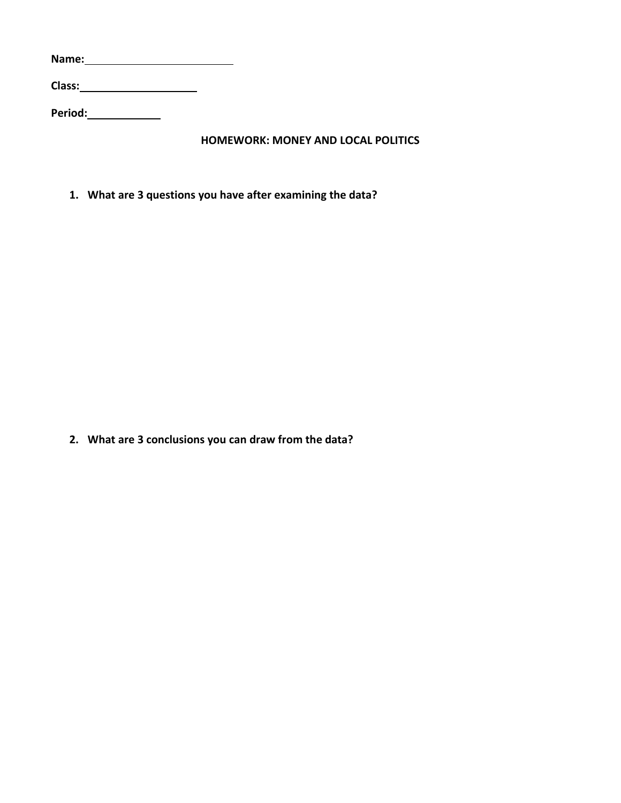**Name: Class: Period:**

**HOMEWORK: MONEY AND LOCAL POLITICS**

**1. What are 3 questions you have after examining the data?**

**2. What are 3 conclusions you can draw from the data?**